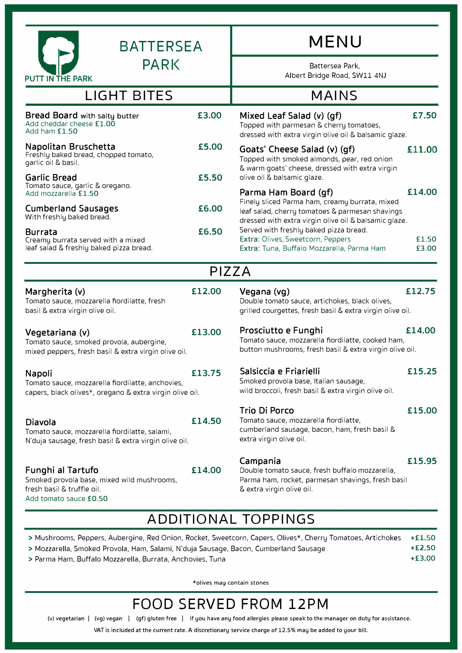| <b>BATTERSEA</b>                                                                                                        |        | <b>MENU</b><br>Battersea Park,<br>Albert Bridge Road, SW11 4NJ<br><b>MAINS</b>                                                                             |                |  |  |  |
|-------------------------------------------------------------------------------------------------------------------------|--------|------------------------------------------------------------------------------------------------------------------------------------------------------------|----------------|--|--|--|
| <b>PARK</b><br><b>PUTT IN THE PARK</b>                                                                                  |        |                                                                                                                                                            |                |  |  |  |
| <b>LIGHT BITES</b>                                                                                                      |        |                                                                                                                                                            |                |  |  |  |
| Bread Board with salty butter<br>Add cheddar cheese £1.00<br>Add ham $f1.50$                                            | £3.00  | Mixed Leaf Salad (v) (gf)<br>Topped with parmesan & cherry tomatoes,<br>dressed with extra virgin olive oil & balsamic glaze.                              | £7.50          |  |  |  |
| Napolitan Bruschetta<br>Freshly baked bread, chopped tomato,<br>garlic oil & basil.                                     | £5.00  | Goats' Cheese Salad (v) (gf)<br>Topped with smoked almonds, pear, red onion<br>& warm goats' cheese, dressed with extra virgin                             | £11.00         |  |  |  |
| <b>Garlic Bread</b><br>Tomato sauce, garlic & oregano.<br>Add mozzarella £1.50                                          | £5.50  | olive oil & balsamic glaze.<br>Parma Ham Board (gf)                                                                                                        | £14.00         |  |  |  |
| <b>Cumberland Sausages</b><br>With freshly baked bread.                                                                 | £6.00  | Finely sliced Parma ham, creamy burrata, mixed<br>leaf salad, cherry tomatoes & parmesan shavings<br>dressed with extra virgin olive oil & balsamic glaze. |                |  |  |  |
| <b>Burrata</b><br>Creamy burrata served with a mixed<br>leaf salad & freshly baked pizza bread.                         | £6.50  | Served with freshly baked pizza bread.<br>Extra: Olives, Sweetcorn, Peppers<br>Extra: Tuna, Buffalo Mozzarella, Parma Ham                                  | £1.50<br>£3.00 |  |  |  |
|                                                                                                                         | PIZZA  |                                                                                                                                                            |                |  |  |  |
| Margherita (v)<br>Tomato sauce, mozzarella fiordilatte, fresh<br>basil & extra virgin olive oil.                        | £12.00 | Vegana (vg)<br>Double tomato sauce, artichokes, black olives,<br>grilled courgettes, fresh basil & extra virgin olive oil.                                 | £12.75         |  |  |  |
| Vegetariana (v)<br>Tomato sauce, smoked provola, aubergine,<br>mixed peppers, fresh basil & extra virgin olive oil.     | £13.00 | Prosciutto e Funghi<br>Tomato sauce, mozzarella fiordilatte, cooked ham,<br>button mushrooms, fresh basil & extra virgin olive oil.                        | £14.00         |  |  |  |
| Napoli<br>Tomato sauce, mozzarella fiordilatte, anchovies,<br>capers, black olives*, oregano & extra virgin olive oil.  | £13.75 | Salsiccia e Friarielli<br>Smoked provola base, Italian sausage,<br>wild broccoli, fresh basil & extra virgin olive oil.                                    | £15.25         |  |  |  |
| Diavola<br>Tomato sauce, mozzarella fiordilatte, salami,<br>N'duja sausage, fresh basil & extra virgin olive oil.       | £14.50 | Trio Di Porco<br>Tomato sauce, mozzarella fiordilatte,<br>cumberland sausage, bacon, ham, fresh basil &<br>extra virgin olive oil.                         | £15.00         |  |  |  |
| Funghi al Tartufo<br>Smoked provola base, mixed wild mushrooms,<br>fresh basil & truffle oil.<br>Add tomato sauce £0.50 | £14.00 | Campania<br>Double tomato sauce, fresh buffalo mozzarella,<br>Parma ham, rocket, parmesan shavings, fresh basil<br>& extra virgin olive oil.               | £15.95         |  |  |  |
| <b>ADDITIONAL TOPPINGS</b>                                                                                              |        |                                                                                                                                                            |                |  |  |  |

| > Mushrooms, Peppers, Aubergine, Red Onion, Rocket, Sweetcorn, Capers, Olives*, Cherry Tomatoes, Artichokes +£1.50 |        |
|--------------------------------------------------------------------------------------------------------------------|--------|
| > Mozzarella, Smoked Provola, Ham, Salami, N'duja Sausage, Bacon, Cumberland Sausage                               | +£2.50 |
| > Parma Ham, Buffalo Mozzarella, Burrata, Anchovies, Tuna                                                          | +£3.00 |

\*olives may contain stones

## **FOOD SERVED FROM 12PM**

(v) vegetarian **I** (vg) vegan **I** (gf) gluten free **I** if you have any food allergies please speak to the manager on duty for assistance.

VAT is included at the current rate. A discretionary service charge of 12.5% may be added to your bill.